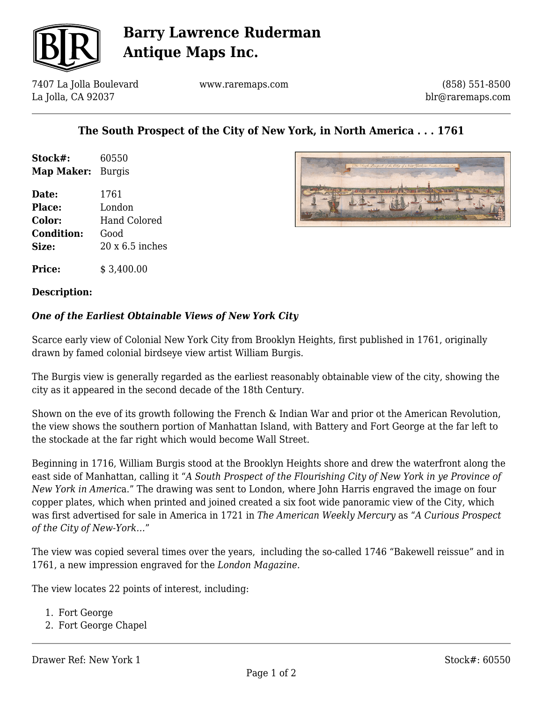

## **Barry Lawrence Ruderman Antique Maps Inc.**

7407 La Jolla Boulevard La Jolla, CA 92037

www.raremaps.com

(858) 551-8500 blr@raremaps.com

### **The South Prospect of the City of New York, in North America . . . 1761**

| Stock#:                  | 60550 |
|--------------------------|-------|
| <b>Map Maker:</b> Burgis |       |

**Date:** 1761 **Place:** London **Color:** Hand Colored **Condition:** Good **Size:** 20 x 6.5 inches

**Price:** \$ 3,400.00

### **Description:**

### *One of the Earliest Obtainable Views of New York City*

Scarce early view of Colonial New York City from Brooklyn Heights, first published in 1761, originally drawn by famed colonial birdseye view artist William Burgis.

The Burgis view is generally regarded as the earliest reasonably obtainable view of the city, showing the city as it appeared in the second decade of the 18th Century.

Shown on the eve of its growth following the French & Indian War and prior ot the American Revolution, the view shows the southern portion of Manhattan Island, with Battery and Fort George at the far left to the stockade at the far right which would become Wall Street.

Beginning in 1716, William Burgis stood at the Brooklyn Heights shore and drew the waterfront along the east side of Manhattan, calling it "*A South Prospect of the Flourishing City of New York in ye Province of New York in Americ*a." The drawing was sent to London, where John Harris engraved the image on four copper plates, which when printed and joined created a six foot wide panoramic view of the City, which was first advertised for sale in America in 1721 in *The American Weekly Mercury* as "*A Curious Prospect of the City of New-York…*"

The view was copied several times over the years, including the so-called 1746 "Bakewell reissue" and in 1761, a new impression engraved for the *London Magazine.*

The view locates 22 points of interest, including:

- 1. Fort George
- 2. Fort George Chapel